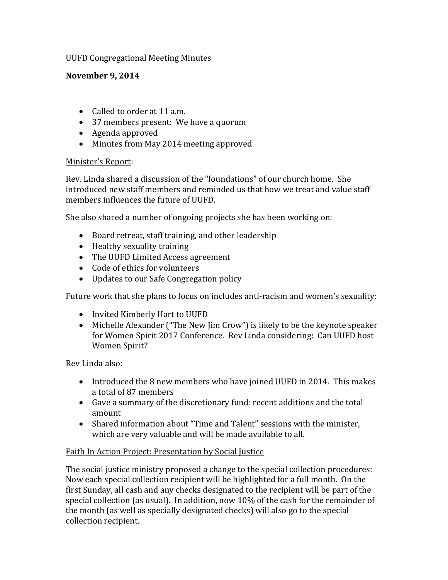## UUFD Congregational Meeting Minutes

## **November 9, 2014**

- Called to order at 11 a.m.
- 37 members present: We have a quorum
- Agenda approved
- Minutes from May 2014 meeting approved

## Minister's Report:

Rev. Linda shared a discussion of the "foundations" of our church home. She introduced new staff members and reminded us that how we treat and value staff members influences the future of UUFD.

She also shared a number of ongoing projects she has been working on:

- Board retreat, staff training, and other leadership
- Healthy sexuality training
- The UUFD Limited Access agreement
- Code of ethics for volunteers
- Updates to our Safe Congregation policy

Future work that she plans to focus on includes anti-racism and women's sexuality:

- Invited Kimberly Hart to UUFD
- Michelle Alexander ("The New Jim Crow") is likely to be the keynote speaker for Women Spirit 2017 Conference. Rev Linda considering: Can UUFD host Women Spirit?

Rev Linda also:

- Introduced the 8 new members who have joined UUFD in 2014. This makes a total of 87 members
- Gave a summary of the discretionary fund: recent additions and the total amount
- Shared information about "Time and Talent" sessions with the minister, which are very valuable and will be made available to all.

# Faith In Action Project: Presentation by Social Justice

The social justice ministry proposed a change to the special collection procedures: Now each special collection recipient will be highlighted for a full month. On the first Sunday, all cash and any checks designated to the recipient will be part of the special collection (as usual). In addition, now 10% of the cash for the remainder of the month (as well as specially designated checks) will also go to the special collection recipient.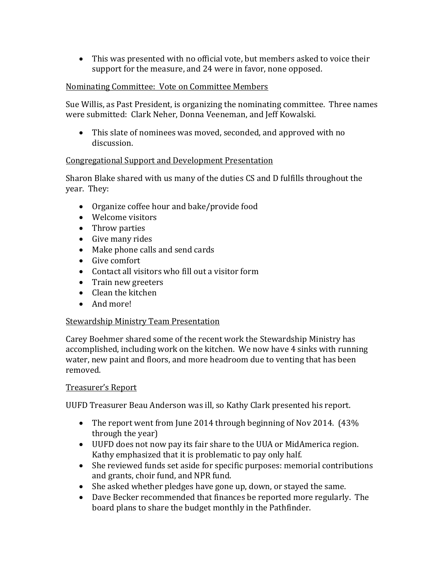This was presented with no official vote, but members asked to voice their support for the measure, and 24 were in favor, none opposed.

## Nominating Committee: Vote on Committee Members

Sue Willis, as Past President, is organizing the nominating committee. Three names were submitted: Clark Neher, Donna Veeneman, and Jeff Kowalski.

 This slate of nominees was moved, seconded, and approved with no discussion.

### Congregational Support and Development Presentation

Sharon Blake shared with us many of the duties CS and D fulfills throughout the year. They:

- Organize coffee hour and bake/provide food
- Welcome visitors
- Throw parties
- Give many rides
- Make phone calls and send cards
- Give comfort
- Contact all visitors who fill out a visitor form
- Train new greeters
- Clean the kitchen
- And more!

# Stewardship Ministry Team Presentation

Carey Boehmer shared some of the recent work the Stewardship Ministry has accomplished, including work on the kitchen. We now have 4 sinks with running water, new paint and floors, and more headroom due to venting that has been removed.

### Treasurer's Report

UUFD Treasurer Beau Anderson was ill, so Kathy Clark presented his report.

- The report went from June 2014 through beginning of Nov 2014. (43%) through the year)
- UUFD does not now pay its fair share to the UUA or MidAmerica region. Kathy emphasized that it is problematic to pay only half.
- She reviewed funds set aside for specific purposes: memorial contributions and grants, choir fund, and NPR fund.
- She asked whether pledges have gone up, down, or stayed the same.
- Dave Becker recommended that finances be reported more regularly. The board plans to share the budget monthly in the Pathfinder.